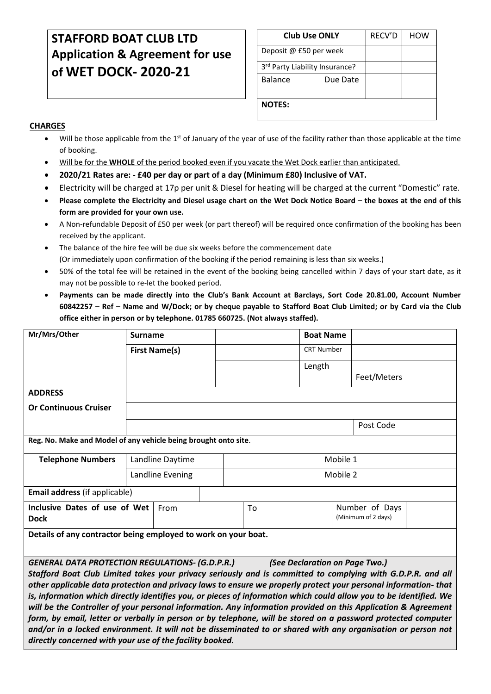## **STAFFORD BOAT CLUB LTD Application & Agreement for use of WET DOCK- 2020-21**

| <b>Club Use ONLY</b>           | RECV'D   | HOW |  |  |  |
|--------------------------------|----------|-----|--|--|--|
| Deposit @ £50 per week         |          |     |  |  |  |
| 3rd Party Liability Insurance? |          |     |  |  |  |
| <b>Balance</b>                 | Due Date |     |  |  |  |
| <b>NOTES:</b>                  |          |     |  |  |  |

## **CHARGES**

- Will be those applicable from the 1<sup>st</sup> of January of the year of use of the facility rather than those applicable at the time of booking.
- Will be for the **WHOLE** of the period booked even if you vacate the Wet Dock earlier than anticipated.
- **2020/21 Rates are: - £40 per day or part of a day (Minimum £80) Inclusive of VAT.**
- Electricity will be charged at 17p per unit & Diesel for heating will be charged at the current "Domestic" rate.
- **Please complete the Electricity and Diesel usage chart on the Wet Dock Notice Board – the boxes at the end of this form are provided for your own use.**
- A Non-refundable Deposit of £50 per week (or part thereof) will be required once confirmation of the booking has been received by the applicant.
- The balance of the hire fee will be due six weeks before the commencement date (Or immediately upon confirmation of the booking if the period remaining is less than six weeks.)
- 50% of the total fee will be retained in the event of the booking being cancelled within 7 days of your start date, as it may not be possible to re-let the booked period.
- **Payments can be made directly into the Club's Bank Account at Barclays, Sort Code 20.81.00, Account Number 60842257 – Ref – Name and W/Dock; or by cheque payable to Stafford Boat Club Limited; or by Card via the Club office either in person or by telephone. 01785 660725. (Not always staffed).**

| Mr/Mrs/Other                                                                                                                                                                                                                          | <b>Surname</b>   |                      |          |  |  |                                       |        | <b>Boat Name</b>  |             |  |
|---------------------------------------------------------------------------------------------------------------------------------------------------------------------------------------------------------------------------------------|------------------|----------------------|----------|--|--|---------------------------------------|--------|-------------------|-------------|--|
|                                                                                                                                                                                                                                       |                  | <b>First Name(s)</b> |          |  |  |                                       |        | <b>CRT Number</b> |             |  |
|                                                                                                                                                                                                                                       |                  |                      |          |  |  |                                       | Length |                   |             |  |
|                                                                                                                                                                                                                                       |                  |                      |          |  |  |                                       |        |                   | Feet/Meters |  |
| <b>ADDRESS</b>                                                                                                                                                                                                                        |                  |                      |          |  |  |                                       |        |                   |             |  |
| <b>Or Continuous Cruiser</b>                                                                                                                                                                                                          |                  |                      |          |  |  |                                       |        |                   |             |  |
|                                                                                                                                                                                                                                       |                  |                      |          |  |  |                                       |        |                   | Post Code   |  |
| Reg. No. Make and Model of any vehicle being brought onto site.                                                                                                                                                                       |                  |                      |          |  |  |                                       |        |                   |             |  |
| <b>Telephone Numbers</b>                                                                                                                                                                                                              | Landline Daytime |                      | Mobile 1 |  |  |                                       |        |                   |             |  |
|                                                                                                                                                                                                                                       | Landline Evening |                      | Mobile 2 |  |  |                                       |        |                   |             |  |
| Email address (if applicable)                                                                                                                                                                                                         |                  |                      |          |  |  |                                       |        |                   |             |  |
| Inclusive Dates of use of Wet<br><b>Dock</b>                                                                                                                                                                                          | From             |                      | To       |  |  | Number of Days<br>(Minimum of 2 days) |        |                   |             |  |
| Details of any contractor being employed to work on your boat.                                                                                                                                                                        |                  |                      |          |  |  |                                       |        |                   |             |  |
| <b>GENERAL DATA PROTECTION REGULATIONS- (G.D.P.R.)</b><br>(See Declaration on Page Two.)                                                                                                                                              |                  |                      |          |  |  |                                       |        |                   |             |  |
| Stafford Boat Club Limited takes your privacy seriously and is committed to complying with G.D.P.R. and all                                                                                                                           |                  |                      |          |  |  |                                       |        |                   |             |  |
| other applicable data protection and privacy laws to ensure we properly protect your personal information- that<br>is, information which directly identifies you, or pieces of information which could allow you to be identified. We |                  |                      |          |  |  |                                       |        |                   |             |  |
| will be the Controller of your personal information. Any information provided on this Application & Agreement                                                                                                                         |                  |                      |          |  |  |                                       |        |                   |             |  |
| form, by email, letter or verbally in person or by telephone, will be stored on a password protected computer                                                                                                                         |                  |                      |          |  |  |                                       |        |                   |             |  |
| and/or in a locked environment. It will not be disseminated to or shared with any organisation or person not<br>directly concerned with your use of the facility booked.                                                              |                  |                      |          |  |  |                                       |        |                   |             |  |